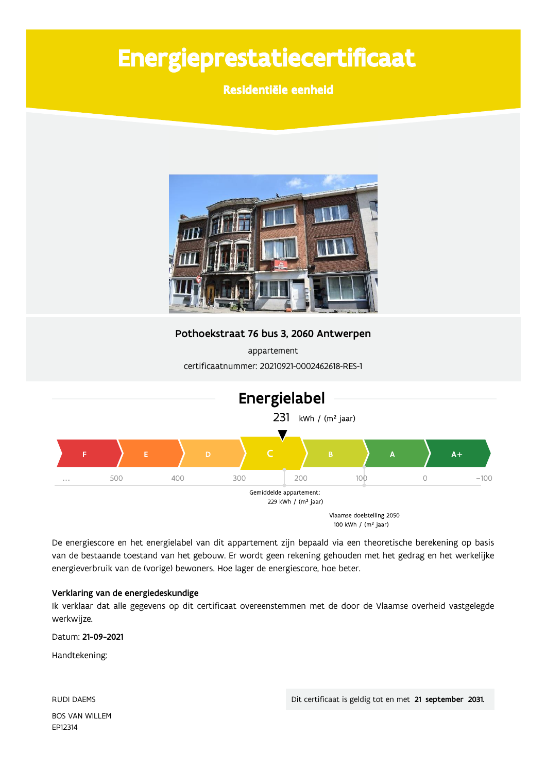# Energieprestatiecertificaat

Residentiële eenheid



Pothoekstraat 76 bus 3, 2060 Antwerpen

appartement certificaatnummer: 20210921-0002462618-RES-1



De energiescore en het energielabel van dit appartement zijn bepaald via een theoretische berekening op basis van de bestaande toestand van het gebouw. Er wordt geen rekening gehouden met het gedrag en het werkelijke energieverbruik van de (vorige) bewoners. Hoe lager de energiescore, hoe beter.

#### Verklaring van de energiedeskundige

Ik verklaar dat alle gegevens op dit certificaat overeenstemmen met de door de Vlaamse overheid vastgelegde werkwijze.

Datum: 21-09-2021

Handtekening:

**RUDI DAEMS BOS VAN WILLEM** EP12314

Dit certificaat is geldig tot en met 21 september 2031.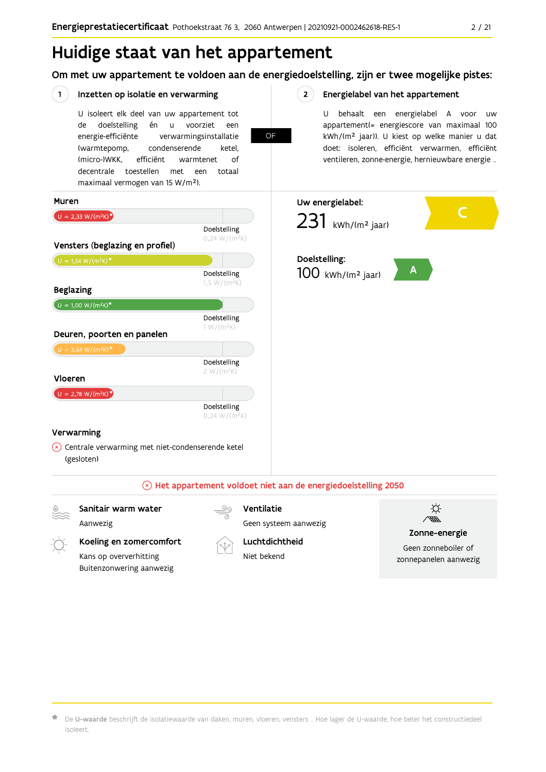Om met uw appartement te voldoen aan de energiedoelstelling, zijn er twee mogelijke pistes:

**OF** 

 $2^{\circ}$ 

#### $(1)$ Inzetten op isolatie en verwarming

U isoleert elk deel van uw appartement tot doelstelling én u voorziet de een energie-efficiënte verwarmingsinstallatie (warmtepomp, condenserende ketel. (micro-)WKK. efficiënt warmtenet  $\bigcap_{ }$ decentrale toestellen met een totaal maximaal vermogen van 15 W/m<sup>2</sup>).

#### Energielabel van het appartement

U behaalt een energielabel A voor  $\overline{U}$ appartement(= energiescore van maximaal 100 kWh/(m<sup>2</sup> jaar)). U kiest op welke manier u dat doet: isoleren, efficiënt verwarmen, efficiënt ventileren, zonne-energie, hernieuwbare energie ...



#### Sanitair warm water

Aanwezig

#### Ventilatie

Geen systeem aanwezig



### Zonne-energie

Geen zonneboiler of zonnepanelen aanwezig

Koeling en zomercomfort Kans op oververhitting Buitenzonwering aanwezig



Luchtdichtheid Niet bekend

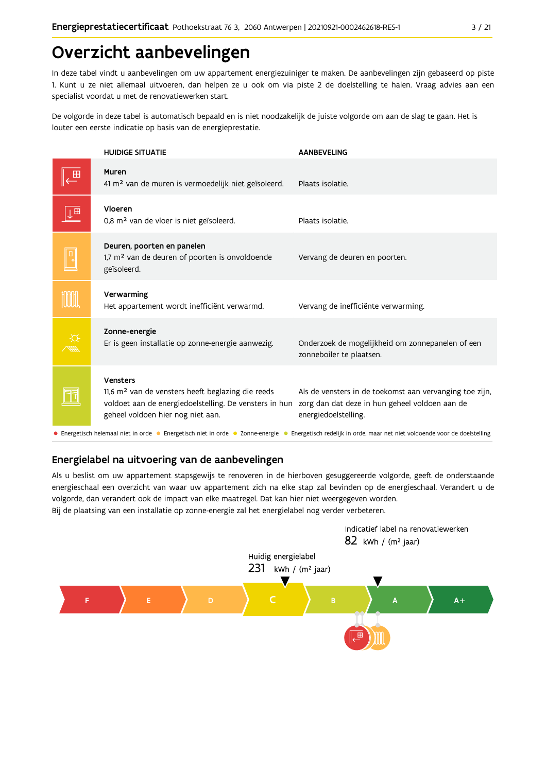## Overzicht aanbevelingen

In deze tabel vindt u aanbevelingen om uw appartement energiezuiniger te maken. De aanbevelingen zijn gebaseerd op piste 1. Kunt u ze niet allemaal uitvoeren, dan helpen ze u ook om via piste 2 de doelstelling te halen. Vraag advies aan een specialist voordat u met de renovatiewerken start.

De volgorde in deze tabel is automatisch bepaald en is niet noodzakelijk de juiste volgorde om aan de slag te gaan. Het is louter een eerste indicatie op basis van de energieprestatie.

|   | <b>HUIDIGE SITUATIE</b>                                                                                                                                                  | <b>AANBEVELING</b>                                                                                                                |  |  |  |  |  |
|---|--------------------------------------------------------------------------------------------------------------------------------------------------------------------------|-----------------------------------------------------------------------------------------------------------------------------------|--|--|--|--|--|
|   | Muren<br>41 m <sup>2</sup> van de muren is vermoedelijk niet geïsoleerd.                                                                                                 | Plaats isolatie.                                                                                                                  |  |  |  |  |  |
| 田 | Vloeren<br>0,8 m <sup>2</sup> van de vloer is niet geïsoleerd.                                                                                                           | Plaats isolatie.                                                                                                                  |  |  |  |  |  |
|   | Deuren, poorten en panelen<br>1,7 m <sup>2</sup> van de deuren of poorten is onvoldoende<br>geïsoleerd.                                                                  | Vervang de deuren en poorten.                                                                                                     |  |  |  |  |  |
|   | Verwarming<br>Het appartement wordt inefficiënt verwarmd.                                                                                                                | Vervang de inefficiënte verwarming.                                                                                               |  |  |  |  |  |
|   | Zonne-energie<br>Er is geen installatie op zonne-energie aanwezig.                                                                                                       | Onderzoek de mogelijkheid om zonnepanelen of een<br>zonneboiler te plaatsen.                                                      |  |  |  |  |  |
|   | Vensters<br>11,6 m <sup>2</sup> van de vensters heeft beglazing die reeds<br>voldoet aan de energiedoelstelling. De vensters in hun<br>geheel voldoen hier nog niet aan. | Als de vensters in de toekomst aan vervanging toe zijn,<br>zorg dan dat deze in hun geheel voldoen aan de<br>energiedoelstelling. |  |  |  |  |  |
|   | • Energetisch helemaal niet in orde • Energetisch niet in orde • Zonne-energie • Energetisch redelijk in orde, maar net niet voldoende voor de doelstelling              |                                                                                                                                   |  |  |  |  |  |

## Energielabel na uitvoering van de aanbevelingen

Als u beslist om uw appartement stapsgewijs te renoveren in de hierboven gesuggereerde volgorde, geeft de onderstaande energieschaal een overzicht van waar uw appartement zich na elke stap zal bevinden op de energieschaal. Verandert u de volgorde, dan verandert ook de impact van elke maatregel. Dat kan hier niet weergegeven worden. Bij de plaatsing van een installatie op zonne-energie zal het energielabel nog verder verbeteren.

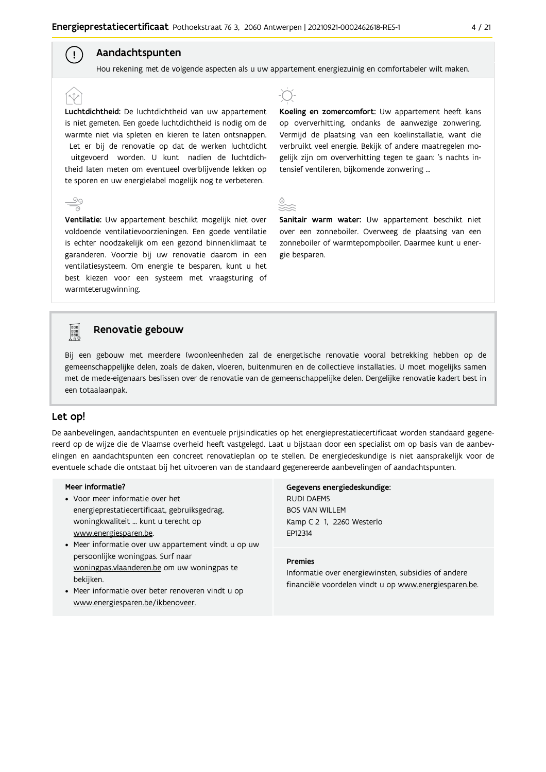### Aandachtspunten

 $\left( \begin{array}{c} 1 \end{array} \right)$ 

Hou rekening met de volgende aspecten als u uw appartement energiezuinig en comfortabeler wilt maken.

Luchtdichtheid: De luchtdichtheid van uw appartement is niet gemeten. Een goede luchtdichtheid is nodig om de warmte niet via spleten en kieren te laten ontsnappen. Let er bij de renovatie op dat de werken luchtdicht uitgevoerd worden. U kunt nadien de luchtdichtheid laten meten om eventueel overblijvende lekken op te sporen en uw energielabel mogelijk nog te verbeteren.

Ventilatie: Uw appartement beschikt mogelijk niet over voldoende ventilatievoorzieningen. Een goede ventilatie is echter noodzakelijk om een gezond binnenklimaat te garanderen. Voorzie bij uw renovatie daarom in een ventilatiesysteem. Om energie te besparen, kunt u het best kiezen voor een systeem met vraagsturing of warmteterugwinning.



Koeling en zomercomfort: Uw appartement heeft kans op oververhitting, ondanks de aanwezige zonwering. Vermijd de plaatsing van een koelinstallatie, want die verbruikt veel energie. Bekijk of andere maatregelen mogelijk zijn om oververhitting tegen te gaan: 's nachts intensief ventileren, bijkomende zonwering ...



Sanitair warm water: Uw appartement beschikt niet over een zonneboiler. Overweeg de plaatsing van een zonneboiler of warmtepompboiler. Daarmee kunt u energie besparen.



### Renovatie gebouw

Bij een gebouw met meerdere (woon)eenheden zal de energetische renovatie vooral betrekking hebben op de gemeenschappelijke delen, zoals de daken, vloeren, buitenmuren en de collectieve installaties. U moet mogelijks samen met de mede-eigenaars beslissen over de renovatie van de gemeenschappelijke delen. Dergelijke renovatie kadert best in een totaalaanpak.

#### Let op!

De aanbevelingen, aandachtspunten en eventuele prijsindicaties op het energieprestatiecertificaat worden standaard gegenereerd op de wijze die de Vlaamse overheid heeft vastgelegd. Laat u bijstaan door een specialist om op basis van de aanbevelingen en aandachtspunten een concreet renovatieplan op te stellen. De energiedeskundige is niet aansprakelijk voor de eventuele schade die ontstaat bij het uitvoeren van de standaard gegenereerde aanbevelingen of aandachtspunten.

#### Meer informatie?

- Voor meer informatie over het energieprestatiecertificaat, gebruiksgedrag, woningkwaliteit ... kunt u terecht op www.energiesparen.be.
- Meer informatie over uw appartement vindt u op uw persoonlijke woningpas. Surf naar woningpas.vlaanderen.be om uw woningpas te bekijken.
- Meer informatie over beter renoveren vindt u op www.energiesparen.be/ikbenoveer.

### Gegevens energiedeskundige: **RUDI DAEMS BOS VAN WILLEM**

Kamp C 2 1, 2260 Westerlo EP12314

#### **Premies**

Informatie over energiewinsten, subsidies of andere financiële voordelen vindt u op www.energiesparen.be.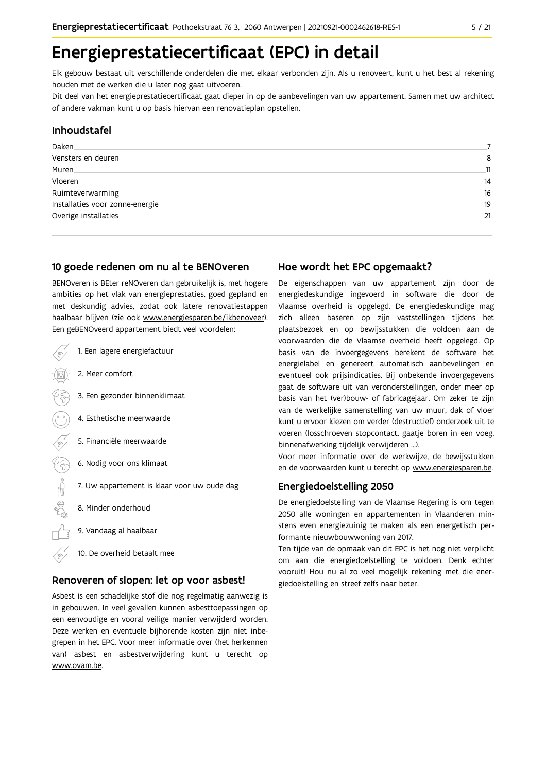## Energieprestatiecertificaat (EPC) in detail

Elk gebouw bestaat uit verschillende onderdelen die met elkaar verbonden zijn. Als u renoveert, kunt u het best al rekening houden met de werken die u later nog gaat uitvoeren.

Dit deel van het energieprestatiecertificaat gaat dieper in op de aanbevelingen van uw appartement. Samen met uw architect of andere vakman kunt u op basis hiervan een renovatieplan opstellen.

#### Inhoudstafel

| Daken                            |     |
|----------------------------------|-----|
| Vensters en deuren               | 8   |
| Muren.                           | 11  |
| Vloeren                          | 14  |
| Ruimteverwarming                 | 16  |
| Installaties voor zonne-energie. | .19 |
| Overige installaties             | 21  |
|                                  |     |

#### 10 goede redenen om nu al te BENOveren

BENOveren is BEter reNOveren dan gebruikelijk is, met hogere ambities op het vlak van energieprestaties, goed gepland en met deskundig advies, zodat ook latere renovatiestappen haalbaar blijven (zie ook www.energiesparen.be/ikbenoveer). Een geBENOveerd appartement biedt veel voordelen:

1. Een lagere energiefactuur 2. Meer comfort 3. Een gezonder binnenklimaat 4. Esthetische meerwaarde 5. Financiële meerwaarde  $\begin{matrix} \sqrt{2} \\ \frac{1}{2} \\ \frac{1}{2} \\ \frac{1}{2} \\ \frac{1}{2} \\ \frac{1}{2} \\ \frac{1}{2} \\ \frac{1}{2} \\ \frac{1}{2} \\ \frac{1}{2} \\ \frac{1}{2} \\ \frac{1}{2} \\ \frac{1}{2} \\ \frac{1}{2} \\ \frac{1}{2} \\ \frac{1}{2} \\ \frac{1}{2} \\ \frac{1}{2} \\ \frac{1}{2} \\ \frac{1}{2} \\ \frac{1}{2} \\ \frac{1}{2} \\ \frac{1}{2} \\ \frac{1}{2} \\ \frac{1}{2} \\ \frac{1}{2} \\ \frac{1}{2} \\ \$ 6. Nodig voor ons klimaat 7. Uw appartement is klaar voor uw oude dag 8. Minder onderhoud 9. Vandaag al haalbaar 10. De overheid betaalt mee

#### Renoveren of slopen: let op voor asbest!

Asbest is een schadelijke stof die nog regelmatig aanwezig is in gebouwen. In veel gevallen kunnen asbesttoepassingen op een eenvoudige en vooral veilige manier verwijderd worden. Deze werken en eventuele bijhorende kosten zijn niet inbegrepen in het EPC. Voor meer informatie over (het herkennen van) asbest en asbestverwijdering kunt u terecht op www.ovam.be.

#### Hoe wordt het EPC opgemaakt?

De eigenschappen van uw appartement zijn door de energiedeskundige ingevoerd in software die door de Vlaamse overheid is opgelegd. De energiedeskundige mag zich alleen baseren op zijn vaststellingen tijdens het plaatsbezoek en op bewijsstukken die voldoen aan de voorwaarden die de Vlaamse overheid heeft opgelegd. Op basis van de invoergegevens berekent de software het energielabel en genereert automatisch aanbevelingen en eventueel ook prijsindicaties. Bij onbekende invoergegevens gaat de software uit van veronderstellingen, onder meer op basis van het (ver)bouw- of fabricagejaar. Om zeker te zijn van de werkelijke samenstelling van uw muur, dak of vloer kunt u ervoor kiezen om verder (destructief) onderzoek uit te voeren (losschroeven stopcontact, gaatje boren in een voeg, binnenafwerking tijdelijk verwijderen ...).

Voor meer informatie over de werkwijze, de bewijsstukken en de voorwaarden kunt u terecht op www.energiesparen.be.

#### Energiedoelstelling 2050

De energiedoelstelling van de Vlaamse Regering is om tegen 2050 alle woningen en appartementen in Vlaanderen minstens even energiezuinig te maken als een energetisch performante nieuwbouwwoning van 2017.

Ten tijde van de opmaak van dit EPC is het nog niet verplicht om aan die energiedoelstelling te voldoen. Denk echter vooruit! Hou nu al zo veel mogelijk rekening met die energiedoelstelling en streef zelfs naar beter.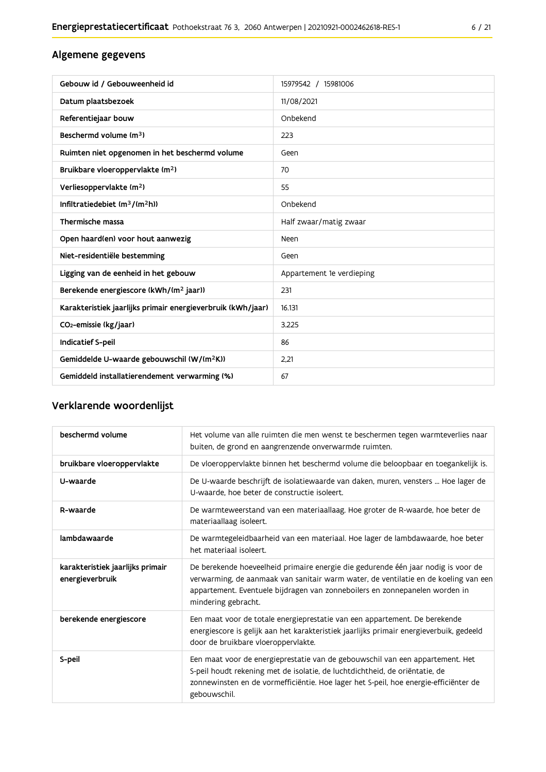## Algemene gegevens

| Gebouw id / Gebouweenheid id                                | 15979542 / 15981006       |
|-------------------------------------------------------------|---------------------------|
| Datum plaatsbezoek                                          | 11/08/2021                |
| Referentiejaar bouw                                         | Onbekend                  |
| Beschermd volume (m <sup>3</sup> )                          | 223                       |
| Ruimten niet opgenomen in het beschermd volume              | Geen                      |
| Bruikbare vloeroppervlakte (m <sup>2</sup> )                | 70                        |
| Verliesoppervlakte (m <sup>2</sup> )                        | 55                        |
| Infiltratiedebiet $(m^3/(m^2h))$                            | Onbekend                  |
| Thermische massa                                            | Half zwaar/matig zwaar    |
| Open haard(en) voor hout aanwezig                           | Neen                      |
| Niet-residentiële bestemming                                | Geen                      |
| Ligging van de eenheid in het gebouw                        | Appartement 1e verdieping |
| Berekende energiescore (kWh/(m <sup>2</sup> jaar))          | 231                       |
| Karakteristiek jaarlijks primair energieverbruik (kWh/jaar) | 16.131                    |
| CO <sub>2</sub> -emissie (kg/jaar)                          | 3.225                     |
| Indicatief S-peil                                           | 86                        |
| Gemiddelde U-waarde gebouwschil (W/(m <sup>2</sup> K))      | 2.21                      |
| Gemiddeld installatierendement verwarming (%)               | 67                        |

## Verklarende woordenlijst

| beschermd volume                                    | Het volume van alle ruimten die men wenst te beschermen tegen warmteverlies naar<br>buiten, de grond en aangrenzende onverwarmde ruimten.                                                                                                                                      |
|-----------------------------------------------------|--------------------------------------------------------------------------------------------------------------------------------------------------------------------------------------------------------------------------------------------------------------------------------|
| bruikbare vloeroppervlakte                          | De vloeroppervlakte binnen het beschermd volume die beloopbaar en toegankelijk is.                                                                                                                                                                                             |
| U-waarde                                            | De U-waarde beschrijft de isolatiewaarde van daken, muren, vensters  Hoe lager de<br>U-waarde, hoe beter de constructie isoleert.                                                                                                                                              |
| R-waarde                                            | De warmteweerstand van een materiaallaag. Hoe groter de R-waarde, hoe beter de<br>materiaallaag isoleert.                                                                                                                                                                      |
| lambdawaarde                                        | De warmtegeleidbaarheid van een materiaal. Hoe lager de lambdawaarde, hoe beter<br>het materiaal isoleert.                                                                                                                                                                     |
| karakteristiek jaarlijks primair<br>energieverbruik | De berekende hoeveelheid primaire energie die gedurende één jaar nodig is voor de<br>verwarming, de aanmaak van sanitair warm water, de ventilatie en de koeling van een<br>appartement. Eventuele bijdragen van zonneboilers en zonnepanelen worden in<br>mindering gebracht. |
| berekende energiescore                              | Een maat voor de totale energieprestatie van een appartement. De berekende<br>energiescore is gelijk aan het karakteristiek jaarlijks primair energieverbuik, gedeeld<br>door de bruikbare vloeroppervlakte.                                                                   |
| S-peil                                              | Een maat voor de energieprestatie van de gebouwschil van een appartement. Het<br>S-peil houdt rekening met de isolatie, de luchtdichtheid, de oriëntatie, de<br>zonnewinsten en de vormefficiëntie. Hoe lager het S-peil, hoe energie-efficiënter de<br>gebouwschil.           |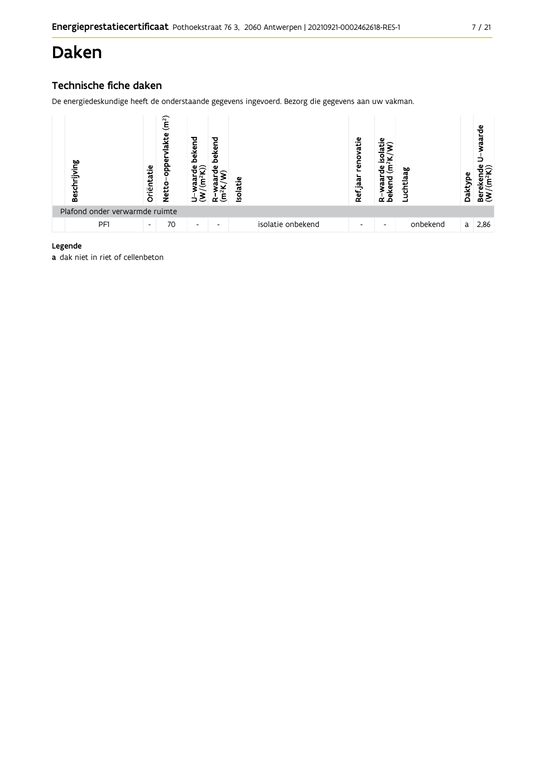## Daken

## Technische fiche daken

De energiedeskundige heeft de onderstaande gegevens ingevoerd. Bezorg die gegevens aan uw vakman.



#### Legende

a dak niet in riet of cellenbeton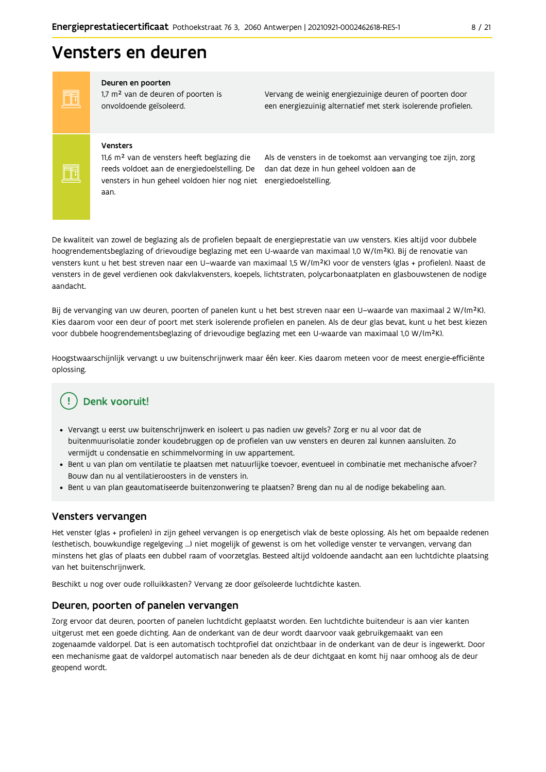## Vensters en deuren

FF

FF

#### Deuren en poorten

1,7 m<sup>2</sup> van de deuren of poorten is onvoldoende geïsoleerd.

Vervang de weinig energiezuinige deuren of poorten door een energiezuinig alternatief met sterk isolerende profielen.

#### Vensters

11,6 m<sup>2</sup> van de vensters heeft beglazing die reeds voldoet aan de energiedoelstelling. De vensters in hun geheel voldoen hier nog niet energiedoelstelling. aan.

Als de vensters in de toekomst aan vervanging toe zijn, zorg dan dat deze in hun geheel voldoen aan de

De kwaliteit van zowel de beglazing als de profielen bepaalt de energieprestatie van uw vensters. Kies altijd voor dubbele hoogrendementsbeglazing of drievoudige beglazing met een U-waarde van maximaal 1,0 W/(m<sup>2</sup>K). Bij de renovatie van vensters kunt u het best streven naar een U-waarde van maximaal 1,5 W/(m<sup>2</sup>K) voor de vensters (glas + profielen). Naast de vensters in de gevel verdienen ook dakvlakvensters, koepels, lichtstraten, polycarbonaatplaten en glasbouwstenen de nodige aandacht.

Bij de vervanging van uw deuren, poorten of panelen kunt u het best streven naar een U-waarde van maximaal 2 W/(m<sup>2</sup>K). Kies daarom voor een deur of poort met sterk isolerende profielen en panelen. Als de deur glas bevat, kunt u het best kiezen voor dubbele hoogrendementsbeglazing of drievoudige beglazing met een U-waarde van maximaal 1,0 W/(m<sup>2</sup>K).

Hoogstwaarschijnlijk vervangt u uw buitenschrijnwerk maar één keer. Kies daarom meteen voor de meest energie-efficiënte oplossing.

## Denk vooruit!

- · Vervangt u eerst uw buitenschrijnwerk en isoleert u pas nadien uw gevels? Zorg er nu al voor dat de buitenmuurisolatie zonder koudebruggen op de profielen van uw vensters en deuren zal kunnen aansluiten. Zo vermijdt u condensatie en schimmelvorming in uw appartement.
- Bent u van plan om ventilatie te plaatsen met natuurlijke toevoer, eventueel in combinatie met mechanische afvoer? Bouw dan nu al ventilatieroosters in de vensters in.
- · Bent u van plan geautomatiseerde buitenzonwering te plaatsen? Breng dan nu al de nodige bekabeling aan.

#### Vensters vervangen

Het venster (glas + profielen) in zijn geheel vervangen is op energetisch vlak de beste oplossing. Als het om bepaalde redenen (esthetisch, bouwkundige regelgeving ...) niet mogelijk of gewenst is om het volledige venster te vervangen, vervang dan minstens het glas of plaats een dubbel raam of voorzetglas. Besteed altijd voldoende aandacht aan een luchtdichte plaatsing van het buitenschrijnwerk.

Beschikt u nog over oude rolluikkasten? Vervang ze door geïsoleerde luchtdichte kasten.

#### Deuren, poorten of panelen vervangen

Zorg ervoor dat deuren, poorten of panelen luchtdicht geplaatst worden. Een luchtdichte buitendeur is aan vier kanten uitgerust met een goede dichting. Aan de onderkant van de deur wordt daarvoor vaak gebruikgemaakt van een zogenaamde valdorpel. Dat is een automatisch tochtprofiel dat onzichtbaar in de onderkant van de deur is ingewerkt. Door een mechanisme gaat de valdorpel automatisch naar beneden als de deur dichtgaat en komt hij naar omhoog als de deur geopend wordt.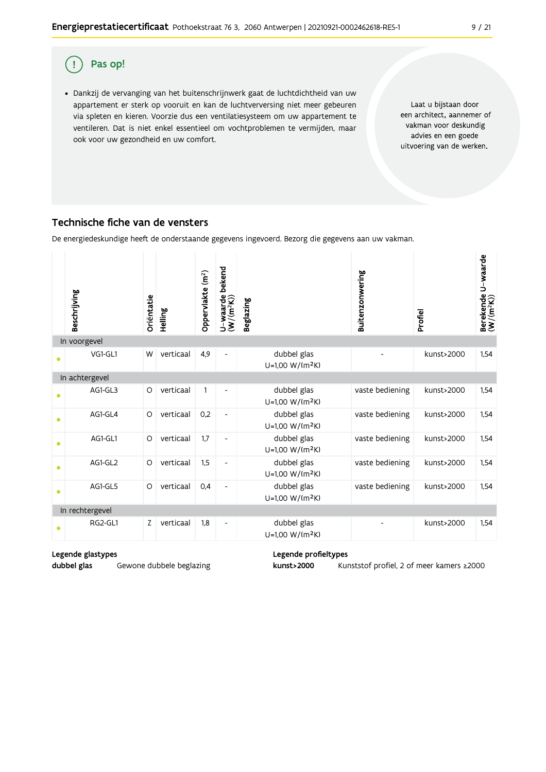#### $\overline{(\,}$ Pas op!

· Dankzij de vervanging van het buitenschrijnwerk gaat de luchtdichtheid van uw appartement er sterk op vooruit en kan de luchtverversing niet meer gebeuren via spleten en kieren. Voorzie dus een ventilatiesysteem om uw appartement te ventileren. Dat is niet enkel essentieel om vochtproblemen te vermijden, maar ook voor uw gezondheid en uw comfort.

Laat u bijstaan door een architect, aannemer of vakman voor deskundig advies en een goede uitvoering van de werken.

### Technische fiche van de vensters

De energiedeskundige heeft de onderstaande gegevens ingevoerd. Bezorg die gegevens aan uw vakman.

|           | Beschrijving    | Oriëntatie | Helling   | Oppervlakte (m <sup>2</sup> ) | bekend<br>$U$ –waarde l $(W/(m^2K))$ | <b>Beglazing</b>                           | Buitenzonwering | Profiel    | Berekende U-waarde<br>(W/(m <sup>2</sup> K)) |
|-----------|-----------------|------------|-----------|-------------------------------|--------------------------------------|--------------------------------------------|-----------------|------------|----------------------------------------------|
|           | In voorgevel    |            |           |                               |                                      |                                            |                 |            |                                              |
| $\bullet$ | VG1-GL1         | W          | verticaal | 4,9                           | $\overline{\phantom{0}}$             | dubbel glas<br>U=1,00 W/(m <sup>2</sup> K) |                 | kunst>2000 | 1,54                                         |
|           | In achtergevel  |            |           |                               |                                      |                                            |                 |            |                                              |
|           | AG1-GL3         | O          | verticaal | $\mathbf{1}$                  |                                      | dubbel glas<br>U=1,00 W/(m <sup>2</sup> K) | vaste bediening | kunst>2000 | 1,54                                         |
| $\bullet$ | AG1-GL4         | O          | verticaal | 0,2                           | $\overline{\phantom{a}}$             | dubbel glas<br>U=1,00 W/(m <sup>2</sup> K) | vaste bediening | kunst>2000 | 1,54                                         |
| $\bullet$ | AG1-GL1         | O          | verticaal | 1.7                           | $\overline{\phantom{a}}$             | dubbel glas<br>U=1,00 W/(m <sup>2</sup> K) | vaste bediening | kunst>2000 | 1.54                                         |
| $\bullet$ | AG1-GL2         | $\circ$    | verticaal | 1,5                           | $\qquad \qquad \blacksquare$         | dubbel glas<br>U=1,00 W/(m <sup>2</sup> K) | vaste bediening | kunst>2000 | 1,54                                         |
| $\bullet$ | AG1-GL5         | O          | verticaal | 0,4                           | $\overline{\phantom{0}}$             | dubbel glas<br>U=1,00 W/(m <sup>2</sup> K) | vaste bediening | kunst>2000 | 1,54                                         |
|           | In rechtergevel |            |           |                               |                                      |                                            |                 |            |                                              |
|           | RG2-GL1         | Z          | verticaal | 1,8                           | $\overline{\phantom{a}}$             | dubbel glas<br>$U=1,00 W/(m^2K)$           |                 | kunst>2000 | 1,54                                         |

#### Legende glastypes

dubbel glas Gewone dubbele beglazing Legende profieltypes

kunst>2000 Kunststof profiel, 2 of meer kamers ≥2000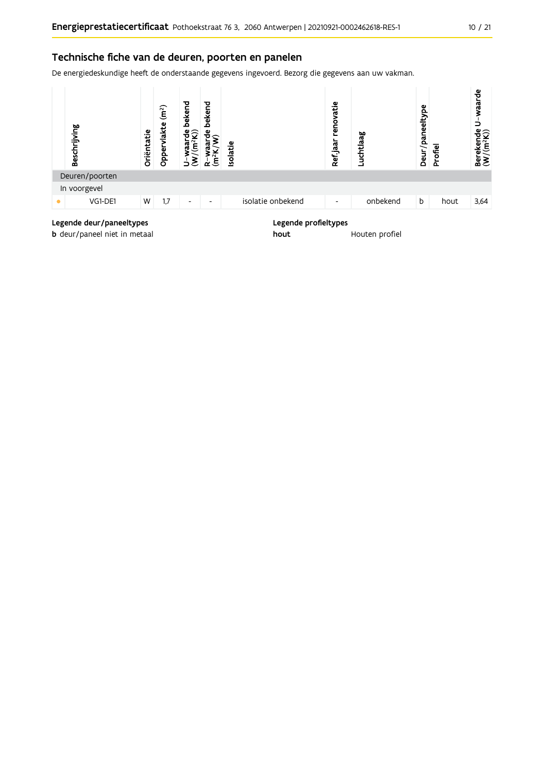### Technische fiche van de deuren, poorten en panelen

De energiedeskundige heeft de onderstaande gegevens ingevoerd. Bezorg die gegevens aan uw vakman.



### Legende deur/paneeltypes

b deur/paneel niet in metaal

#### Legende profieltypes

hout Houten profiel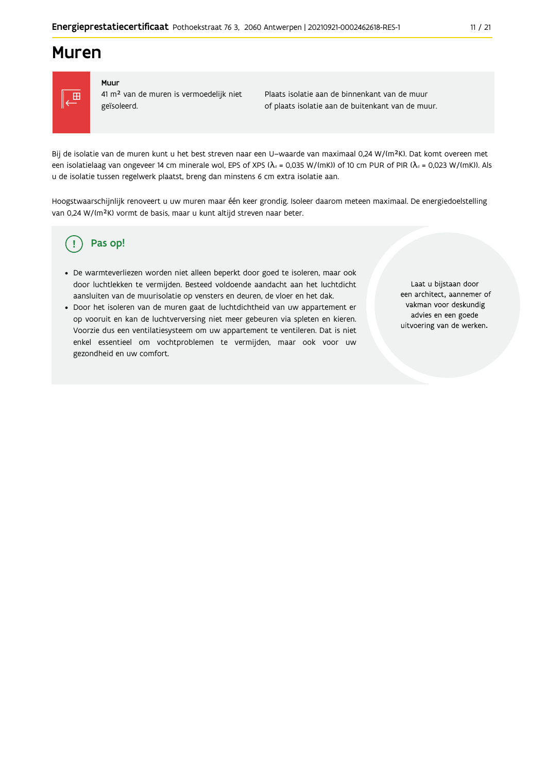## **Muren**



#### Muur

41 m<sup>2</sup> van de muren is vermoedelijk niet geïsoleerd.

Plaats isolatie aan de binnenkant van de muur of plaats isolatie aan de buitenkant van de muur.

Bij de isolatie van de muren kunt u het best streven naar een U-waarde van maximaal 0,24 W/(m<sup>2</sup>K). Dat komt overeen met een isolatielaag van ongeveer 14 cm minerale wol, EPS of XPS ( $\lambda_a$  = 0,035 W/(mK)) of 10 cm PUR of PIR ( $\lambda_a$  = 0,023 W/(mK)). Als u de isolatie tussen regelwerk plaatst, breng dan minstens 6 cm extra isolatie aan.

Hoogstwaarschijnlijk renoveert u uw muren maar één keer grondig. Isoleer daarom meteen maximaal. De energiedoelstelling van 0,24 W/(m<sup>2</sup>K) vormt de basis, maar u kunt altijd streven naar beter.

#### Pas op! (၂

- · De warmteverliezen worden niet alleen beperkt door goed te isoleren, maar ook door luchtlekken te vermijden. Besteed voldoende aandacht aan het luchtdicht aansluiten van de muurisolatie op vensters en deuren, de vloer en het dak.
- · Door het isoleren van de muren gaat de luchtdichtheid van uw appartement er op vooruit en kan de luchtverversing niet meer gebeuren via spleten en kieren. Voorzie dus een ventilatiesysteem om uw appartement te ventileren. Dat is niet enkel essentieel om vochtproblemen te vermijden, maar ook voor uw gezondheid en uw comfort.

Laat u bijstaan door een architect, aannemer of vakman voor deskundig advies en een goede uitvoering van de werken.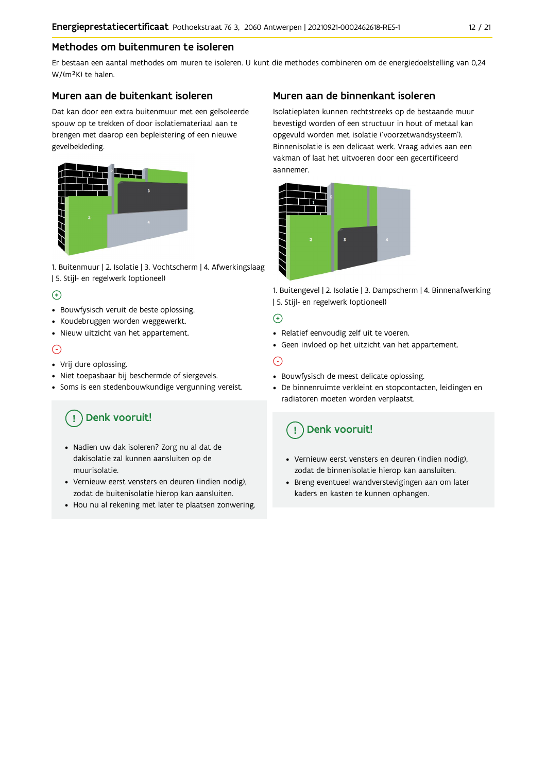### Methodes om buitenmuren te isoleren

Er bestaan een aantal methodes om muren te isoleren. U kunt die methodes combineren om de energiedoelstelling van 0,24 W/(m<sup>2</sup>K) te halen.

#### Muren aan de buitenkant isoleren

Dat kan door een extra buitenmuur met een geïsoleerde spouw op te trekken of door isolatiemateriaal aan te brengen met daarop een bepleistering of een nieuwe gevelbekleding.



1. Buitenmuur | 2. Isolatie | 3. Vochtscherm | 4. Afwerkingslaag | 5. Stijl- en regelwerk (optioneel)

### $\bigoplus$

- Bouwfysisch veruit de beste oplossing.
- Koudebruggen worden weggewerkt.
- · Nieuw uitzicht van het appartement.

### $\odot$

- Vrij dure oplossing.
- · Niet toepasbaar bij beschermde of siergevels.
- Soms is een stedenbouwkundige vergunning vereist.

## Denk vooruit!

- · Nadien uw dak isoleren? Zorg nu al dat de dakisolatie zal kunnen aansluiten op de muurisolatie.
- · Vernieuw eerst vensters en deuren (indien nodig), zodat de buitenisolatie hierop kan aansluiten.
- Hou nu al rekening met later te plaatsen zonwering.

### Muren aan de binnenkant isoleren

Isolatieplaten kunnen rechtstreeks op de bestaande muur bevestigd worden of een structuur in hout of metaal kan opgevuld worden met isolatie ('voorzetwandsysteem'). Binnenisolatie is een delicaat werk. Vraag advies aan een vakman of laat het uitvoeren door een gecertificeerd aannemer



1. Buitengevel | 2. Isolatie | 3. Dampscherm | 4. Binnenafwerking | 5. Stijl- en regelwerk (optioneel)

#### $\bigoplus$

- Relatief eenvoudig zelf uit te voeren.
- Geen invloed op het uitzicht van het appartement.

### ⊝

- Bouwfysisch de meest delicate oplossing.
- · De binnenruimte verkleint en stopcontacten, leidingen en radiatoren moeten worden verplaatst.

## Denk vooruit!

- Vernieuw eerst vensters en deuren (indien nodig), zodat de binnenisolatie hierop kan aansluiten.
- · Breng eventueel wandverstevigingen aan om later kaders en kasten te kunnen ophangen.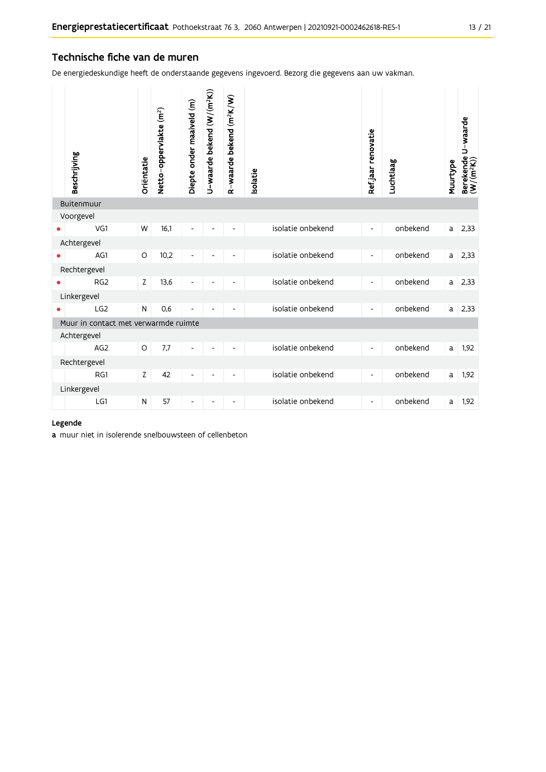#### Technische fiche van de muren

De energiedeskundige heeft de onderstaande gegevens ingevoerd. Bezorg die gegevens aan uw vakman.

| Buitenmuur<br>Voorgevel<br>isolatie onbekend<br>VG1<br>W<br>16,1<br>onbekend<br>2,33<br>$\mathsf{a}$<br>$\overline{\phantom{a}}$<br>Achtergevel<br>AG1<br>10,2<br>isolatie onbekend<br>onbekend<br>O<br>2,33<br>a<br>Rechtergevel<br>isolatie onbekend<br>RG <sub>2</sub><br>Z<br>onbekend<br>13,6<br>2,33<br>a<br>Linkergevel<br>isolatie onbekend<br>LG <sub>2</sub><br>0,6<br>onbekend<br>N<br>2,33<br>a<br>$\overline{\phantom{a}}$<br>Muur in contact met verwarmde ruimte<br>Achtergevel<br>isolatie onbekend<br>onbekend<br>$\circ$<br>7.7<br>AG <sub>2</sub><br>1,92<br>a<br>L,<br>$\overline{\phantom{a}}$<br>Rechtergevel<br>isolatie onbekend<br>42<br>onbekend<br>RG1<br>Z<br>1,92<br>a<br>$\overline{\phantom{a}}$<br>$\overline{\phantom{a}}$<br>$\overline{a}$<br>Linkergevel<br>isolatie onbekend<br>onbekend<br>LG1<br>57<br>1,92<br>N<br>a<br>$\overline{\phantom{a}}$<br>$\overline{\phantom{a}}$<br>$\overline{\phantom{a}}$<br>$\overline{\phantom{a}}$ | Beschrijving | Oriëntatie | Netto-oppervlakte (m <sup>2</sup> ) | Diepte onder maaiveld (m) | U-waarde bekend $(W/(m^2K))$ | R-waarde bekend (m <sup>2</sup> K/W) | solatie | Refjaar renovatie | Luchtlaag | Muurtype | Berekende U-waarde<br>(W/(m <sup>2</sup> K)) |
|------------------------------------------------------------------------------------------------------------------------------------------------------------------------------------------------------------------------------------------------------------------------------------------------------------------------------------------------------------------------------------------------------------------------------------------------------------------------------------------------------------------------------------------------------------------------------------------------------------------------------------------------------------------------------------------------------------------------------------------------------------------------------------------------------------------------------------------------------------------------------------------------------------------------------------------------------------------------------|--------------|------------|-------------------------------------|---------------------------|------------------------------|--------------------------------------|---------|-------------------|-----------|----------|----------------------------------------------|
|                                                                                                                                                                                                                                                                                                                                                                                                                                                                                                                                                                                                                                                                                                                                                                                                                                                                                                                                                                              |              |            |                                     |                           |                              |                                      |         |                   |           |          |                                              |
|                                                                                                                                                                                                                                                                                                                                                                                                                                                                                                                                                                                                                                                                                                                                                                                                                                                                                                                                                                              |              |            |                                     |                           |                              |                                      |         |                   |           |          |                                              |
|                                                                                                                                                                                                                                                                                                                                                                                                                                                                                                                                                                                                                                                                                                                                                                                                                                                                                                                                                                              |              |            |                                     |                           |                              |                                      |         |                   |           |          |                                              |
|                                                                                                                                                                                                                                                                                                                                                                                                                                                                                                                                                                                                                                                                                                                                                                                                                                                                                                                                                                              |              |            |                                     |                           |                              |                                      |         |                   |           |          |                                              |
|                                                                                                                                                                                                                                                                                                                                                                                                                                                                                                                                                                                                                                                                                                                                                                                                                                                                                                                                                                              |              |            |                                     |                           |                              |                                      |         |                   |           |          |                                              |
|                                                                                                                                                                                                                                                                                                                                                                                                                                                                                                                                                                                                                                                                                                                                                                                                                                                                                                                                                                              |              |            |                                     |                           |                              |                                      |         |                   |           |          |                                              |
|                                                                                                                                                                                                                                                                                                                                                                                                                                                                                                                                                                                                                                                                                                                                                                                                                                                                                                                                                                              |              |            |                                     |                           |                              |                                      |         |                   |           |          |                                              |
|                                                                                                                                                                                                                                                                                                                                                                                                                                                                                                                                                                                                                                                                                                                                                                                                                                                                                                                                                                              |              |            |                                     |                           |                              |                                      |         |                   |           |          |                                              |
|                                                                                                                                                                                                                                                                                                                                                                                                                                                                                                                                                                                                                                                                                                                                                                                                                                                                                                                                                                              |              |            |                                     |                           |                              |                                      |         |                   |           |          |                                              |
|                                                                                                                                                                                                                                                                                                                                                                                                                                                                                                                                                                                                                                                                                                                                                                                                                                                                                                                                                                              |              |            |                                     |                           |                              |                                      |         |                   |           |          |                                              |
|                                                                                                                                                                                                                                                                                                                                                                                                                                                                                                                                                                                                                                                                                                                                                                                                                                                                                                                                                                              |              |            |                                     |                           |                              |                                      |         |                   |           |          |                                              |
|                                                                                                                                                                                                                                                                                                                                                                                                                                                                                                                                                                                                                                                                                                                                                                                                                                                                                                                                                                              |              |            |                                     |                           |                              |                                      |         |                   |           |          |                                              |
|                                                                                                                                                                                                                                                                                                                                                                                                                                                                                                                                                                                                                                                                                                                                                                                                                                                                                                                                                                              |              |            |                                     |                           |                              |                                      |         |                   |           |          |                                              |
|                                                                                                                                                                                                                                                                                                                                                                                                                                                                                                                                                                                                                                                                                                                                                                                                                                                                                                                                                                              |              |            |                                     |                           |                              |                                      |         |                   |           |          |                                              |
|                                                                                                                                                                                                                                                                                                                                                                                                                                                                                                                                                                                                                                                                                                                                                                                                                                                                                                                                                                              |              |            |                                     |                           |                              |                                      |         |                   |           |          |                                              |
|                                                                                                                                                                                                                                                                                                                                                                                                                                                                                                                                                                                                                                                                                                                                                                                                                                                                                                                                                                              |              |            |                                     |                           |                              |                                      |         |                   |           |          |                                              |

#### Legende

a muur niet in isolerende snelbouwsteen of cellenbeton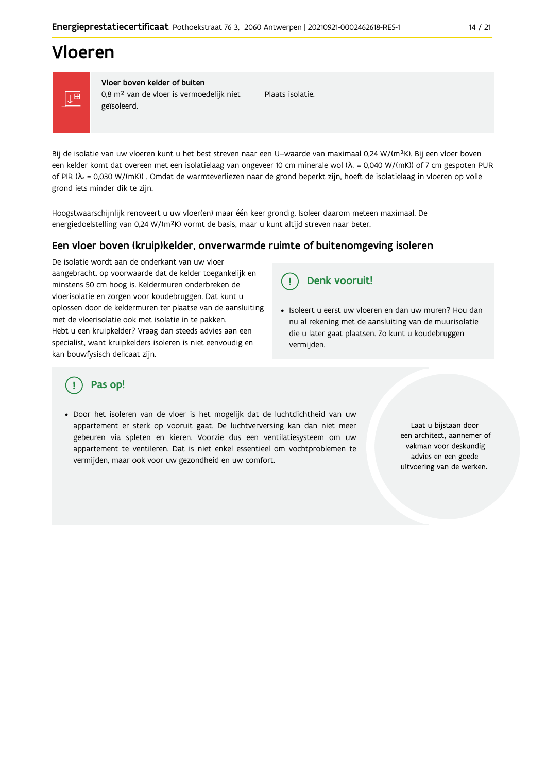## Vloeren



Vloer boven kelder of buiten 0,8 m<sup>2</sup> van de vloer is vermoedelijk niet geïsoleerd.

Plaats isolatie.

Bij de isolatie van uw vloeren kunt u het best streven naar een U-waarde van maximaal 0,24 W/(m<sup>2</sup>K). Bij een vloer boven een kelder komt dat overeen met een isolatielaag van ongeveer 10 cm minerale wol ( $\lambda_d$  = 0,040 W/(mK)) of 7 cm gespoten PUR of PIR ( $\lambda_0$  = 0,030 W/(mK)). Omdat de warmteverliezen naar de grond beperkt zijn, hoeft de isolatielaag in vloeren op volle grond iets minder dik te zijn.

Hoogstwaarschijnlijk renoveert u uw vloer(en) maar één keer grondig. Isoleer daarom meteen maximaal. De energiedoelstelling van 0,24 W/(m<sup>2</sup>K) vormt de basis, maar u kunt altijd streven naar beter.

#### Een vloer boven (kruip) kelder, onverwarmde ruimte of buitenomgeving isoleren

De isolatie wordt aan de onderkant van uw vloer aangebracht, op voorwaarde dat de kelder toegankelijk en minstens 50 cm hoog is. Keldermuren onderbreken de vloerisolatie en zorgen voor koudebruggen. Dat kunt u oplossen door de keldermuren ter plaatse van de aansluiting met de vloerisolatie ook met isolatie in te pakken. Hebt u een kruipkelder? Vraag dan steeds advies aan een specialist, want kruipkelders isoleren is niet eenvoudig en kan bouwfysisch delicaat zijn.

Denk vooruit! Ţ

· Isoleert u eerst uw vloeren en dan uw muren? Hou dan nu al rekening met de aansluiting van de muurisolatie die u later gaat plaatsen. Zo kunt u koudebruggen vermijden.

## Pas op!

· Door het isoleren van de vloer is het mogelijk dat de luchtdichtheid van uw appartement er sterk op vooruit gaat. De luchtverversing kan dan niet meer gebeuren via spleten en kieren. Voorzie dus een ventilatiesysteem om uw appartement te ventileren. Dat is niet enkel essentieel om vochtproblemen te vermijden, maar ook voor uw gezondheid en uw comfort.

Laat u bijstaan door een architect, aannemer of vakman voor deskundig advies en een goede uitvoering van de werken.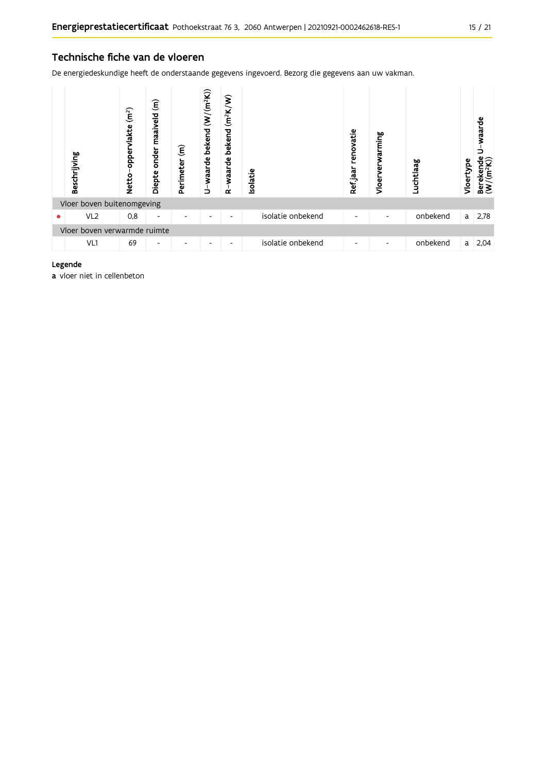### Technische fiche van de vloeren

De energiedeskundige heeft de onderstaande gegevens ingevoerd. Bezorg die gegevens aan uw vakman.

|   | Beschrijving                 | (m <sup>2</sup> )<br>oppervlakte<br><b>Netto</b> | $\widehat{\boldsymbol{\epsilon}}$<br>maaiveld<br>onder<br>Diepte | $\widehat{\epsilon}$<br>Perimeter | U-waarde bekend (W/(m <sup>2</sup> K)) | $(m^2K/W)$<br>bekend<br>waarde<br>≃ | <b>Isolatie</b>   | renovatie<br>Refjaar | warming<br>Vloer | Luchtlaag | Vloertype | waarde<br>Berekende<br>$(W/(m^2K))$ |
|---|------------------------------|--------------------------------------------------|------------------------------------------------------------------|-----------------------------------|----------------------------------------|-------------------------------------|-------------------|----------------------|------------------|-----------|-----------|-------------------------------------|
|   | Vloer boven buitenomgeving   |                                                  |                                                                  |                                   |                                        |                                     |                   |                      |                  |           |           |                                     |
| ٠ | VL <sub>2</sub>              | 0,8                                              | $\overline{\phantom{a}}$                                         |                                   | ۰                                      | $\overline{\phantom{0}}$            | isolatie onbekend | -                    |                  | onbekend  | a         | 2,78                                |
|   | Vloer boven verwarmde ruimte |                                                  |                                                                  |                                   |                                        |                                     |                   |                      |                  |           |           |                                     |
|   | VL1                          | 69                                               | ٠                                                                |                                   | ۰                                      | $\overline{\phantom{a}}$            | isolatie onbekend | -                    |                  | onbekend  | a         | 2,04                                |

#### Legende

a vloer niet in cellenbeton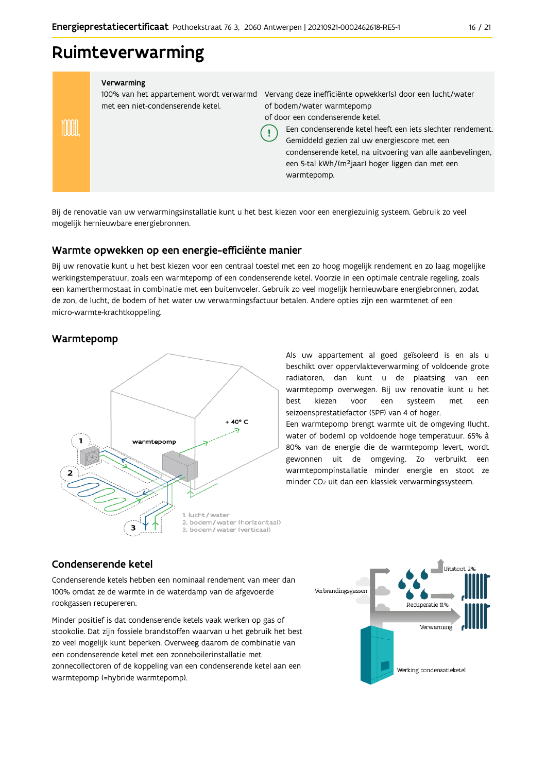## Ruimteverwarming

#### Verwarming

100% van het appartement wordt verwarmd Vervang deze inefficiënte opwekker(s) door een lucht/water met een niet-condenserende ketel. of bodem/water warmtepomp

of door een condenserende ketel.

Een condenserende ketel heeft een jets slechter rendement.

Gemiddeld gezien zal uw energiescore met een condenserende ketel, na uitvoering van alle aanbevelingen, een 5-tal kWh/(m<sup>2</sup>jaar) hoger liggen dan met een warmtepomp.

Bij de renovatie van uw verwarmingsinstallatie kunt u het best kiezen voor een energiezuinig systeem. Gebruik zo veel mogelijk hernieuwbare energiebronnen.

Ţ

#### Warmte opwekken op een energie-efficiënte manier

Bij uw renovatie kunt u het best kiezen voor een centraal toestel met een zo hoog mogelijk rendement en zo laag mogelijke werkingstemperatuur, zoals een warmtepomp of een condenserende ketel. Voorzie in een optimale centrale regeling, zoals een kamerthermostaat in combinatie met een buitenvoeler. Gebruik zo veel mogelijk hernieuwbare energiebronnen, zodat de zon, de lucht, de bodem of het water uw verwarmingsfactuur betalen. Andere opties zijn een warmtenet of een micro-warmte-krachtkoppeling.

### Warmtepomp

mm



Als uw appartement al goed geïsoleerd is en als u beschikt over oppervlakteverwarming of voldoende grote radiatoren, dan kunt u de plaatsing van een warmtepomp overwegen. Bij uw renovatie kunt u het hest kiezen voor een systeem met een seizoensprestatiefactor (SPF) van 4 of hoger.

Een warmtepomp brengt warmte uit de omgeving (lucht, water of bodem) op voldoende hoge temperatuur. 65% à 80% van de energie die de warmtepomp levert, wordt gewonnen uit de omgeving. Zo verbruikt een warmtepompinstallatie minder energie en stoot ze minder CO<sub>2</sub> uit dan een klassiek verwarmingssysteem.

### Condenserende ketel

Condenserende ketels hebben een nominaal rendement van meer dan 100% omdat ze de warmte in de waterdamp van de afgevoerde rookgassen recupereren.

Minder positief is dat condenserende ketels vaak werken op gas of stookolie. Dat zijn fossiele brandstoffen waarvan u het gebruik het best zo veel mogelijk kunt beperken. Overweeg daarom de combinatie van een condenserende ketel met een zonneboilerinstallatie met zonnecollectoren of de koppeling van een condenserende ketel aan een warmtepomp (=hybride warmtepomp).

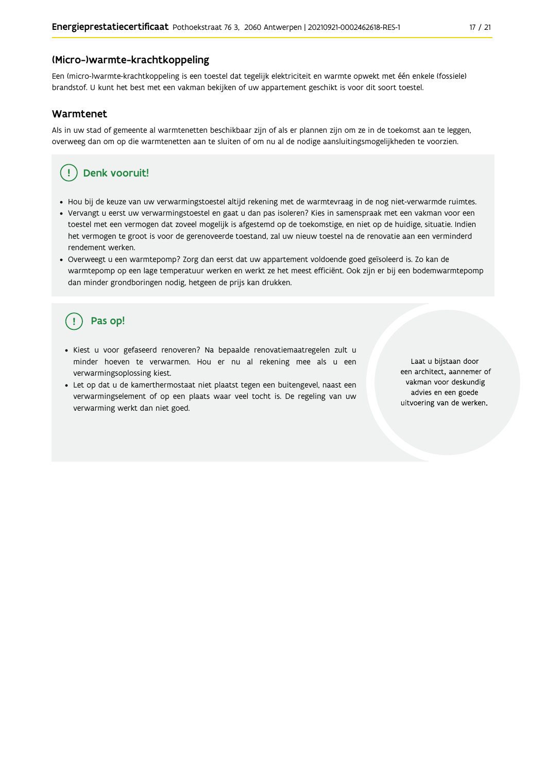#### (Micro-)warmte-krachtkoppeling

Een (micro-)warmte-krachtkoppeling is een toestel dat tegelijk elektriciteit en warmte opwekt met één enkele (fossiele) brandstof. U kunt het best met een vakman bekijken of uw appartement geschikt is voor dit soort toestel.

#### Warmtenet

Als in uw stad of gemeente al warmtenetten beschikbaar zijn of als er plannen zijn om ze in de toekomst aan te leggen, overweeg dan om op die warmtenetten aan te sluiten of om nu al de nodige aansluitingsmogelijkheden te voorzien.

## Denk vooruit!

- · Hou bij de keuze van uw verwarmingstoestel altijd rekening met de warmtevraag in de nog niet-verwarmde ruimtes.
- Vervangt u eerst uw verwarmingstoestel en gaat u dan pas isoleren? Kies in samenspraak met een vakman voor een toestel met een vermogen dat zoveel mogelijk is afgestemd op de toekomstige, en niet op de huidige, situatie. Indien het vermogen te groot is voor de gerenoveerde toestand, zal uw nieuw toestel na de renovatie aan een verminderd rendement werken.
- · Overweegt u een warmtepomp? Zorg dan eerst dat uw appartement voldoende goed geïsoleerd is. Zo kan de warmtepomp op een lage temperatuur werken en werkt ze het meest efficiënt. Ook zijn er bij een bodemwarmtepomp dan minder grondboringen nodig, hetgeen de prijs kan drukken.

## Pas op!

- · Kiest u voor gefaseerd renoveren? Na bepaalde renovatiemaatregelen zult u minder hoeven te verwarmen. Hou er nu al rekening mee als u een verwarmingsoplossing kiest.
- · Let op dat u de kamerthermostaat niet plaatst tegen een buitengevel, naast een verwarmingselement of op een plaats waar veel tocht is. De regeling van uw verwarming werkt dan niet goed.

Laat u bijstaan door een architect, aannemer of vakman voor deskundig advies en een goede uitvoering van de werken.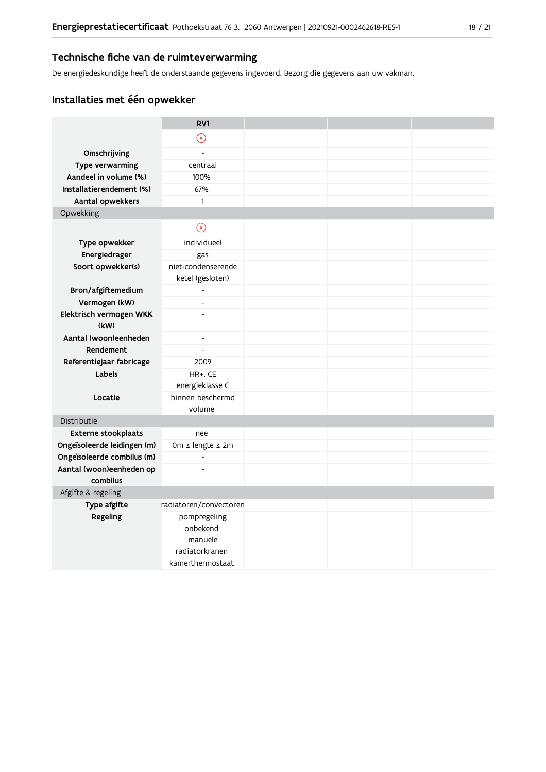### Technische fiche van de ruimteverwarming

De energiedeskundige heeft de onderstaande gegevens ingevoerd. Bezorg die gegevens aan uw vakman.

## Installaties met één opwekker

|                                      | RV1                      |  |  |
|--------------------------------------|--------------------------|--|--|
|                                      | $\circledast$            |  |  |
| Omschrijving                         | $\overline{a}$           |  |  |
| Type verwarming                      | centraal                 |  |  |
| Aandeel in volume (%)                | 100%                     |  |  |
| Installatierendement (%)             | 67%                      |  |  |
| Aantal opwekkers                     | $\mathbf{1}$             |  |  |
| Opwekking                            |                          |  |  |
|                                      | $\odot$                  |  |  |
| Type opwekker                        | individueel              |  |  |
| Energiedrager                        | gas                      |  |  |
| Soort opwekker(s)                    | niet-condenserende       |  |  |
|                                      | ketel (gesloten)         |  |  |
| Bron/afgiftemedium                   | $\overline{\phantom{a}}$ |  |  |
| Vermogen (kW)                        | $\overline{a}$           |  |  |
| Elektrisch vermogen WKK              | $\overline{a}$           |  |  |
| (kW)                                 |                          |  |  |
| Aantal (woon)eenheden                | $\blacksquare$           |  |  |
| Rendement                            | $\overline{\phantom{a}}$ |  |  |
| Referentiejaar fabricage             | 2009                     |  |  |
| Labels                               | HR+, CE                  |  |  |
|                                      | energieklasse C          |  |  |
| Locatie                              | binnen beschermd         |  |  |
|                                      | volume                   |  |  |
| Distributie                          |                          |  |  |
| <b>Externe stookplaats</b>           | nee                      |  |  |
| Ongeïsoleerde leidingen (m)          | Om ≤ lengte ≤ 2m         |  |  |
| Ongeïsoleerde combilus (m)           | $\overline{\phantom{a}}$ |  |  |
| Aantal (woon)eenheden op<br>combilus |                          |  |  |
| Afgifte & regeling                   |                          |  |  |
| Type afgifte                         | radiatoren/convectoren   |  |  |
| Regeling                             | pompregeling             |  |  |
|                                      | onbekend                 |  |  |
|                                      | manuele                  |  |  |
|                                      | radiatorkranen           |  |  |
|                                      | kamerthermostaat         |  |  |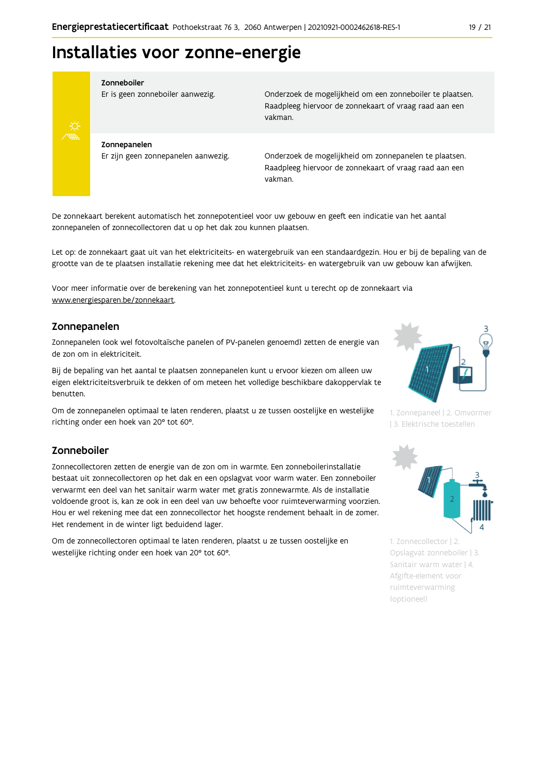## Installaties voor zonne-energie



#### Zonneboiler

Er is geen zonneboiler aanwezig.

Onderzoek de mogelijkheid om een zonneboiler te plaatsen. Raadpleeg hiervoor de zonnekaart of vraag raad aan een vakman.

Zonnepanelen Er zijn geen zonnepanelen aanwezig.

Onderzoek de mogelijkheid om zonnepanelen te plaatsen. Raadpleeg hiervoor de zonnekaart of vraag raad aan een vakman.

De zonnekaart berekent automatisch het zonnepotentieel voor uw gebouw en geeft een indicatie van het aantal zonnepanelen of zonnecollectoren dat u op het dak zou kunnen plaatsen.

Let op: de zonnekaart gaat uit van het elektriciteits- en watergebruik van een standaardgezin. Hou er bij de bepaling van de grootte van de te plaatsen installatie rekening mee dat het elektriciteits- en watergebruik van uw gebouw kan afwijken.

Voor meer informatie over de berekening van het zonnepotentieel kunt u terecht op de zonnekaart via www.energiesparen.be/zonnekaart.

#### Zonnepanelen

Zonnepanelen (ook wel fotovoltaïsche panelen of PV-panelen genoemd) zetten de energie van de zon om in elektriciteit.

Bij de bepaling van het aantal te plaatsen zonnepanelen kunt u ervoor kiezen om alleen uw eigen elektriciteitsverbruik te dekken of om meteen het volledige beschikbare dakoppervlak te benutten.

Om de zonnepanelen optimaal te laten renderen, plaatst u ze tussen oostelijke en westelijke richting onder een hoek van 20° tot 60°.

#### Zonneboiler

Zonnecollectoren zetten de energie van de zon om in warmte. Een zonneboilerinstallatie bestaat uit zonnecollectoren op het dak en een opslagvat voor warm water. Een zonneboiler verwarmt een deel van het sanitair warm water met gratis zonnewarmte. Als de installatie voldoende groot is, kan ze ook in een deel van uw behoefte voor ruimteverwarming voorzien. Hou er wel rekening mee dat een zonnecollector het hoogste rendement behaalt in de zomer. Het rendement in de winter ligt beduidend lager.

Om de zonnecollectoren optimaal te laten renderen, plaatst u ze tussen oostelijke en westelijke richting onder een hoek van 20° tot 60°.



1. Zonnepaneel | 2. Omvormer | 3. Elektrische toestellen



1. Zonnecollector | 2. Opslagvat zonneboiler | 3. Sanitair warm water | 4. Afgifte-element voor ruimteverwarming (optioneel)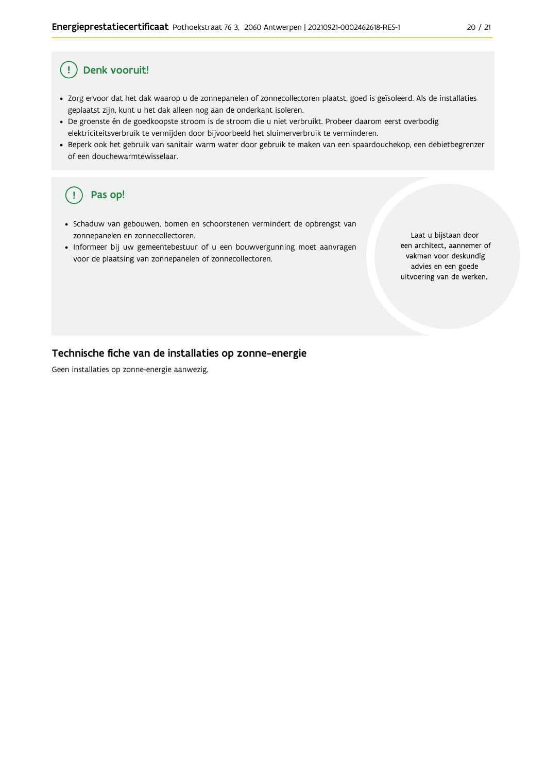#### Denk vooruit! Ţ

- · Zorg ervoor dat het dak waarop u de zonnepanelen of zonnecollectoren plaatst, goed is geïsoleerd. Als de installaties geplaatst zijn, kunt u het dak alleen nog aan de onderkant isoleren.
- · De groenste én de goedkoopste stroom is de stroom die u niet verbruikt. Probeer daarom eerst overbodig elektriciteitsverbruik te vermijden door bijvoorbeeld het sluimerverbruik te verminderen.
- · Beperk ook het gebruik van sanitair warm water door gebruik te maken van een spaardouchekop, een debietbegrenzer of een douchewarmtewisselaar.

#### Pas op! ( !

- · Schaduw van gebouwen, bomen en schoorstenen vermindert de opbrengst van zonnepanelen en zonnecollectoren.
- Informeer bij uw gemeentebestuur of u een bouwvergunning moet aanvragen voor de plaatsing van zonnepanelen of zonnecollectoren.

Laat u bijstaan door een architect, aannemer of vakman voor deskundig advies en een goede uitvoering van de werken.

#### Technische fiche van de installaties op zonne-energie

Geen installaties op zonne-energie aanwezig.